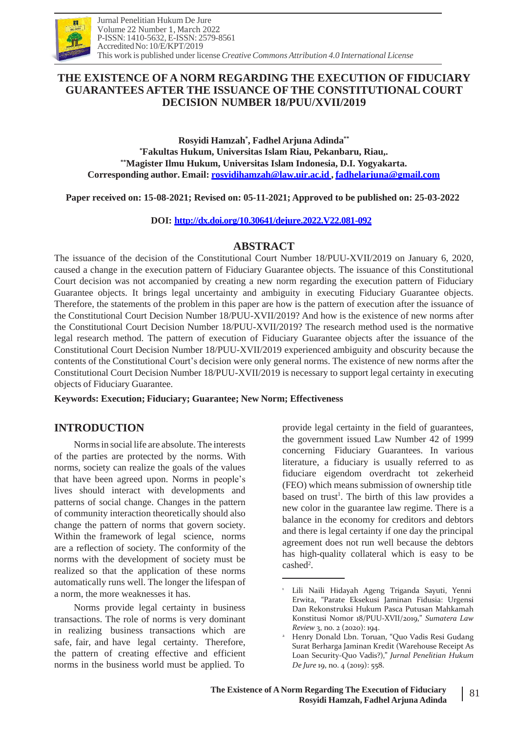

## **THE EXISTENCE OF A NORM REGARDING THE EXECUTION OF FIDUCIARY GUARANTEES AFTER THE ISSUANCE OF THE CONSTITUTIONAL COURT DECISION NUMBER 18/PUU/XVII/2019**

**Rosyidi Hamzah\* , Fadhel Arjuna Adinda\*\* \*Fakultas Hukum, Universitas Islam Riau, Pekanbaru, Riau,. \*\*Magister Ilmu Hukum, Universitas Islam Indonesia, D.I. Yogyakarta. Corresponding author. Email: [rosyidihamzah@law.uir.ac.id](mailto:rosyidihamzah@law.uir.ac.id) , [fadhelarjuna@gmail.com](mailto:fadhelarjuna@gmail.com)**

**Paper received on: 15-08-2021; Revised on: 05-11-2021; Approved to be published on: 25-03-2022**

**DOI: <http://dx.doi.org/10.30641/dejure.2022.V22.081-092>**

#### **ABSTRACT**

The issuance of the decision of the Constitutional Court Number 18/PUU-XVII/2019 on January 6, 2020, caused a change in the execution pattern of Fiduciary Guarantee objects. The issuance of this Constitutional Court decision was not accompanied by creating a new norm regarding the execution pattern of Fiduciary Guarantee objects. It brings legal uncertainty and ambiguity in executing Fiduciary Guarantee objects. Therefore, the statements of the problem in this paper are how is the pattern of execution after the issuance of the Constitutional Court Decision Number 18/PUU-XVII/2019? And how is the existence of new norms after the Constitutional Court Decision Number 18/PUU-XVII/2019? The research method used is the normative legal research method. The pattern of execution of Fiduciary Guarantee objects after the issuance of the Constitutional Court Decision Number 18/PUU-XVII/2019 experienced ambiguity and obscurity because the contents of the Constitutional Court's decision were only general norms. The existence of new norms after the Constitutional Court Decision Number 18/PUU-XVII/2019 is necessary to support legal certainty in executing objects of Fiduciary Guarantee.

**Keywords: Execution; Fiduciary; Guarantee; New Norm; Effectiveness**

# **INTRODUCTION**

Normsin social life are absolute.The interests of the parties are protected by the norms. With norms, society can realize the goals of the values that have been agreed upon. Norms in people's lives should interact with developments and patterns of social change. Changes in the pattern of community interaction theoretically should also change the pattern of norms that govern society. Within the framework of legal science, norms are a reflection of society. The conformity of the norms with the development of society must be realized so that the application of these norms automatically runs well. The longer the lifespan of a norm, the more weaknesses it has.

Norms provide legal certainty in business transactions. The role of norms is very dominant in realizing business transactions which are safe, fair, and have legal certainty. Therefore, the pattern of creating effective and efficient norms in the business world must be applied. To

provide legal certainty in the field of guarantees, the government issued Law Number 42 of 1999 concerning Fiduciary Guarantees. In various literature, a fiduciary is usually referred to as fiduciare eigendom overdracht tot zekerheid (FEO) which means submission of ownership title based on trust<sup>1</sup>. The birth of this law provides a new color in the guarantee law regime. There is a balance in the economy for creditors and debtors and there is legal certainty if one day the principal agreement does not run well because the debtors has high-quality collateral which is easy to be cashed<sup>2</sup>.

<sup>1</sup> Lili Naili Hidayah Ageng Triganda Sayuti, Yenni Erwita, "Parate Eksekusi Jaminan Fidusia: Urgensi Dan Rekonstruksi Hukum Pasca Putusan Mahkamah Konstitusi Nomor 18/PUU-XVII/2019," *Sumatera Law Review* 3, no. 2 (2020): 194.

Henry Donald Lbn. Toruan, "Quo Vadis Resi Gudang Surat Berharga Jaminan Kredit (Warehouse Receipt As Loan Security-Quo Vadis?)," *Jurnal Penelitian Hukum De Jure* 19, no. 4 (2019): 558. 2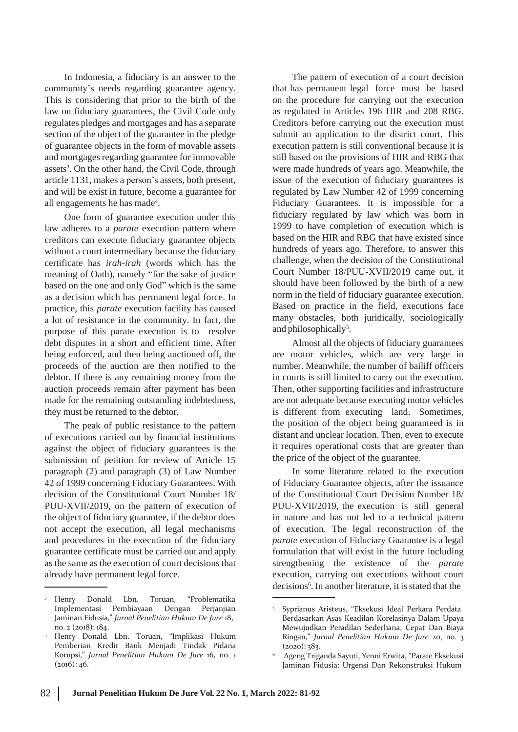In Indonesia, a fiduciary is an answer to the community's needs regarding guarantee agency. This is considering that prior to the birth of the law on fiduciary guarantees, the Civil Code only regulates pledges and mortgages and has a separate section of the object of the guarantee in the pledge of guarantee objects in the form of movable assets and mortgages regarding guarantee for immovable assets<sup>3</sup>. On the other hand, the Civil Code, through article 1131, makes a person's assets, both present, and will be exist in future, become a guarantee for all engagements he has made<sup>4</sup>.

One form of guarantee execution under this law adheres to a *parate* execution pattern where creditors can execute fiduciary guarantee objects without a court intermediary because the fiduciary certificate has *irah-irah* (words which has the meaning of Oath), namely "for the sake of justice based on the one and only God" which is the same as a decision which has permanent legal force. In practice, this *parate* execution facility has caused a lot of resistance in the community. In fact, the purpose of this parate execution is to resolve debt disputes in a short and efficient time. After being enforced, and then being auctioned off, the proceeds of the auction are then notified to the debtor. If there is any remaining money from the auction proceeds remain after payment has been made for the remaining outstanding indebtedness, they must be returned to the debtor.

The peak of public resistance to the pattern of executions carried out by financial institutions against the object of fiduciary guarantees is the submission of petition for review of Article 15 paragraph (2) and paragraph (3) of Law Number 42 of 1999 concerning Fiduciary Guarantees. With decision of the Constitutional Court Number 18/ PUU-XVII/2019, on the pattern of execution of the object of fiduciary guarantee, if the debtor does not accept the execution, all legal mechanisms and procedures in the execution of the fiduciary guarantee certificate must be carried out and apply as the same as the execution of court decisions that already have permanent legal force.

The pattern of execution of a court decision that has permanent legal force must be based on the procedure for carrying out the execution as regulated in Articles 196 HIR and 208 RBG. Creditors before carrying out the execution must submit an application to the district court. This execution pattern is still conventional because it is still based on the provisions of HIR and RBG that were made hundreds of years ago. Meanwhile, the issue of the execution of fiduciary guarantees is regulated by Law Number 42 of 1999 concerning Fiduciary Guarantees. It is impossible for a fiduciary regulated by law which was born in 1999 to have completion of execution which is based on the HIR and RBG that have existed since hundreds of years ago. Therefore, to answer this challenge, when the decision of the Constitutional Court Number 18/PUU-XVII/2019 came out, it should have been followed by the birth of a new norm in the field of fiduciary guarantee execution. Based on practice in the field, executions face many obstacles, both juridically, sociologically and philosophically<sup>5</sup>.

Almost all the objects of fiduciary guarantees are motor vehicles, which are very large in number. Meanwhile, the number of bailiff officers in courts is still limited to carry out the execution. Then, other supporting facilities and infrastructure are not adequate because executing motor vehicles is different from executing land. Sometimes, the position of the object being guaranteed is in distant and unclear location. Then, even to execute it requires operational costs that are greater than the price of the object of the guarantee.

In some literature related to the execution of Fiduciary Guarantee objects, after the issuance of the Constitutional Court Decision Number 18/ PUU-XVII/2019, the execution is still general in nature and has not led to a technical pattern of execution. The legal reconstruction of the *parate* execution of Fiduciary Guarantee is a legal formulation that will exist in the future including strengthening the existence of the *parate* execution, carrying out executions without court decisions<sup>6</sup>. In another literature, it is stated that the

<sup>3</sup> Henry Donald Lbn. Toruan, "Problematika Jaminan Fidusia," *Jurnal Penelitian Hukum De Jure* 18, no. 2 (2018): 184.

Henry Donald Lbn. Toruan, "Implikasi Hukum Pemberian Kredit Bank Menjadi Tindak Pidana Korupsi," *Jurnal Penelitian Hukum De Jure* 16, no. 1  $(2016): 46.$ 4

Implementasi Pembiayaan Dengan Perjanjian <sup>5</sup> Syprianus Aristeus, "Eksekusi Ideal Perkara Perdata Berdasarkan Asas Keadilan Korelasinya Dalam Upaya Mewujudkan Peradilan Sederhana, Cepat Dan Biaya Ringan," *Jurnal Penelitian Hukum De Jure* 20, no. 3  $(2020): 383.$ 

Ageng Triganda Sayuti, Yenni Erwita, "Parate Eksekusi Jaminan Fidusia: Urgensi Dan Rekonstruksi Hukum 6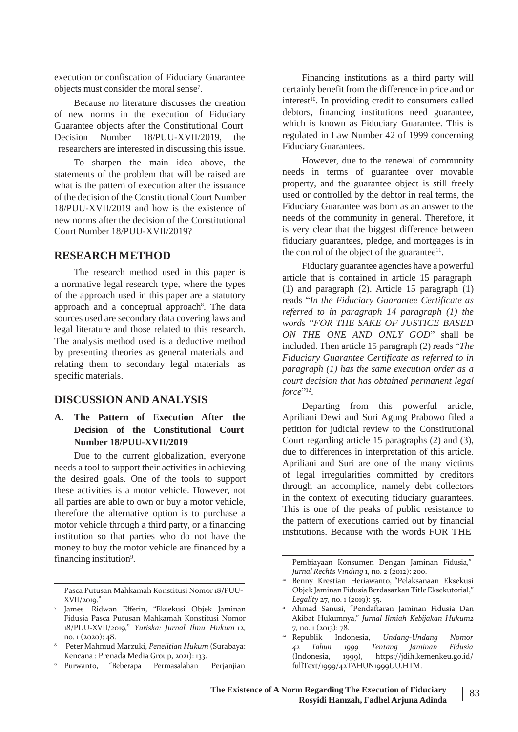execution or confiscation of Fiduciary Guarantee objects must consider the moral sense<sup>7</sup> .

Because no literature discusses the creation of new norms in the execution of Fiduciary Guarantee objects after the Constitutional Court Decision Number 18/PUU-XVII/2019, the researchers are interested in discussing this issue.

To sharpen the main idea above, the statements of the problem that will be raised are what is the pattern of execution after the issuance of the decision of the Constitutional Court Number 18/PUU-XVII/2019 and how is the existence of new norms after the decision of the Constitutional Court Number 18/PUU-XVII/2019?

#### **RESEARCH METHOD**

The research method used in this paper is a normative legal research type, where the types of the approach used in this paper are a statutory approach and a conceptual approach<sup>8</sup>. The data sources used are secondary data covering laws and legal literature and those related to this research. The analysis method used is a deductive method by presenting theories as general materials and relating them to secondary legal materials as specific materials.

#### **DISCUSSION AND ANALYSIS**

#### **A. The Pattern of Execution After the Decision of the Constitutional Court Number 18/PUU-XVII/2019**

Due to the current globalization, everyone needs a tool to support their activities in achieving the desired goals. One of the tools to support these activities is a motor vehicle. However, not all parties are able to own or buy a motor vehicle, therefore the alternative option is to purchase a motor vehicle through a third party, or a financing institution so that parties who do not have the money to buy the motor vehicle are financed by a financing institution<sup>9</sup>.

Financing institutions as a third party will certainly benefit from the difference in price and or interest<sup>10</sup>. In providing credit to consumers called debtors, financing institutions need guarantee, which is known as Fiduciary Guarantee. This is regulated in Law Number 42 of 1999 concerning Fiduciary Guarantees.

However, due to the renewal of community needs in terms of guarantee over movable property, and the guarantee object is still freely used or controlled by the debtor in real terms, the Fiduciary Guarantee was born as an answer to the needs of the community in general. Therefore, it is very clear that the biggest difference between fiduciary guarantees, pledge, and mortgages is in the control of the object of the guarantee<sup>11</sup>.

Fiduciary guarantee agencies have a powerful article that is contained in article 15 paragraph (1) and paragraph (2). Article 15 paragraph (1) reads "*In the Fiduciary Guarantee Certificate as referred to in paragraph 14 paragraph (1) the words "FOR THE SAKE OF JUSTICE BASED ON THE ONE AND ONLY GOD*" shall be included. Then article 15 paragraph (2) reads "*The Fiduciary Guarantee Certificate as referred to in paragraph (1) has the same execution order as a court decision that has obtained permanent legal* force"<sup>12</sup>.

Departing from this powerful article, Apriliani Dewi and Suri Agung Prabowo filed a petition for judicial review to the Constitutional Court regarding article 15 paragraphs (2) and (3), due to differences in interpretation of this article. Apriliani and Suri are one of the many victims of legal irregularities committed by creditors through an accomplice, namely debt collectors in the context of executing fiduciary guarantees. This is one of the peaks of public resistance to the pattern of executions carried out by financial institutions. Because with the words FOR THE

- Ahmad Sanusi, "Pendaftaran Jaminan Fidusia Dan Akibat Hukumnya," *Jurnal Ilmiah Kebijakan Hukum2* 7, no. 1 (2013): 78.
- <sup>12</sup> Republik Indonesia, *Undang-Undang Nomor* (Indonesia, 1999), https://jdih.kemenkeu.go.id/

Pasca Putusan Mahkamah Konstitusi Nomor 18/PUU-XVII/2019."

<sup>&</sup>lt;sup>7</sup> James Ridwan Efferin, "Eksekusi Objek Jaminan <u>wa</u> Fidusia Pasca Putusan Mahkamah Konstitusi Nomor 18/PUU-XVII/2019," *Yuriska: Jurnal Ilmu Hukum* 12, no. 1 (2020): 48.

Peter Mahmud Marzuki, *Penelitian Hukum* (Surabaya: *Fidusia* <sup>8</sup> *42 Tahun 1999 Tentang Jaminan* Kencana : Prenada Media Group, 2021): 133.

<sup>9</sup> Purwanto, "Beberapa Permasalahan Perjanjian fullText/1999/42TAHUN1999UU.HTM.

<sup>.</sup> Pembiayaan Konsumen Dengan Jaminan Fidusia," *Jurnal Rechts Vinding* 1, no. 2 (2012): 200.

Benny Krestian Heriawanto, "Pelaksanaan Eksekusi Objek Jaminan Fidusia Berdasarkan Title Eksekutorial," *Legality* 27, no. 1 (2019): 55. 10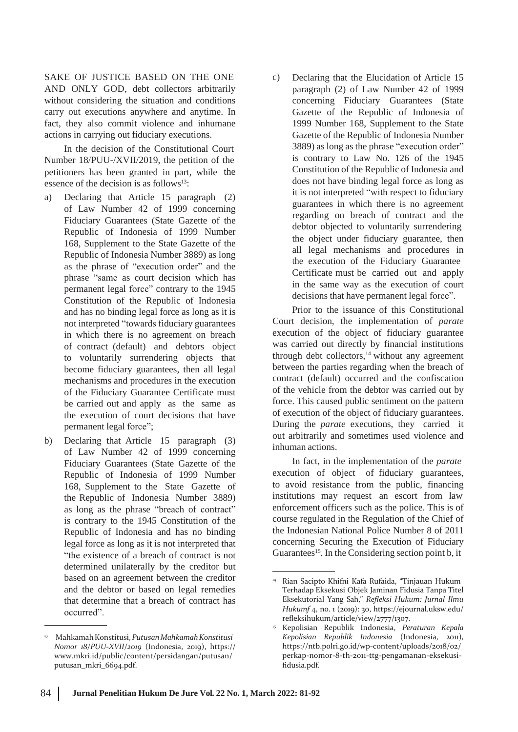SAKE OF JUSTICE BASED ON THE ONE AND ONLY GOD, debt collectors arbitrarily without considering the situation and conditions carry out executions anywhere and anytime. In fact, they also commit violence and inhumane actions in carrying out fiduciary executions.

In the decision of the Constitutional Court Number 18/PUU-/XVII/2019, the petition of the petitioners has been granted in part, while the essence of the decision is as follows<sup>13</sup>:

- a) Declaring that Article 15 paragraph (2) of Law Number 42 of 1999 concerning Fiduciary Guarantees (State Gazette of the Republic of Indonesia of 1999 Number 168, Supplement to the State Gazette of the Republic of Indonesia Number 3889) as long as the phrase of "execution order" and the phrase "same as court decision which has permanent legal force" contrary to the 1945 Constitution of the Republic of Indonesia and has no binding legal force as long as it is not interpreted "towards fiduciary guarantees in which there is no agreement on breach of contract (default) and debtors object to voluntarily surrendering objects that become fiduciary guarantees, then all legal mechanisms and procedures in the execution of the Fiduciary Guarantee Certificate must be carried out and apply as the same as the execution of court decisions that have permanent legal force";
- Declaring that Article 15 paragraph (3) of Law Number 42 of 1999 concerning Fiduciary Guarantees (State Gazette of the Republic of Indonesia of 1999 Number 168, Supplement to the State Gazette of the Republic of Indonesia Number 3889) as long as the phrase "breach of contract" is contrary to the 1945 Constitution of the Republic of Indonesia and has no binding legal force as long as it is not interpreted that "the existence of a breach of contract is not determined unilaterally by the creditor but based on an agreement between the creditor and the debtor or based on legal remedies that determine that a breach of contract has occurred". b)

c) Declaring that the Elucidation of Article 15 paragraph (2) of Law Number 42 of 1999 concerning Fiduciary Guarantees (State Gazette of the Republic of Indonesia of 1999 Number 168, Supplement to the State Gazette of the Republic of Indonesia Number 3889) as long as the phrase "execution order" is contrary to Law No. 126 of the 1945 Constitution of the Republic of Indonesia and does not have binding legal force as long as it is not interpreted "with respect to fiduciary guarantees in which there is no agreement regarding on breach of contract and the debtor objected to voluntarily surrendering the object under fiduciary guarantee, then all legal mechanisms and procedures in the execution of the Fiduciary Guarantee Certificate must be carried out and apply in the same way as the execution of court decisions that have permanent legal force".

Prior to the issuance of this Constitutional Court decision, the implementation of *parate* execution of the object of fiduciary guarantee was carried out directly by financial institutions through debt collectors,<sup>14</sup> without any agreement between the parties regarding when the breach of contract (default) occurred and the confiscation of the vehicle from the debtor was carried out by force. This caused public sentiment on the pattern of execution of the object of fiduciary guarantees. During the *parate* executions, they carried it out arbitrarily and sometimes used violence and inhuman actions.

In fact, in the implementation of the *parate* execution of object of fiduciary guarantees, to avoid resistance from the public, financing institutions may request an escort from law enforcement officers such as the police. This is of course regulated in the Regulation of the Chief of the Indonesian National Police Number 8 of 2011 concerning Securing the Execution of Fiduciary Guarantees<sup>15</sup>. In the Considering section point b, it

<sup>13</sup> MahkamahKonstitusi,*PutusanMahkamahKonstitusi Nomor 18/PUU-XVII/2019* (Indonesia, 2019), https:/[/](http://www.mkri.id/public/content/persidangan/putusan/) [www.mkri.id/public/content/persidangan/putusan/](http://www.mkri.id/public/content/persidangan/putusan/) putusan\_mkri\_6694.pdf.

<sup>14</sup> Rian Sacipto Khifni Kafa Rufaida, "Tinjauan Hukum Terhadap Eksekusi Objek Jaminan Fidusia Tanpa Titel Eksekutorial Yang Sah," *Refleksi Hukum: Jurnal Ilmu Hukumf* 4, no. 1 (2019): 30, https://ejournal.uksw.edu/ refleksihukum/article/view/2777/1307.

Kepolisian Republik Indonesia, *Peraturan Kepala* 15 *Kepolisian Republik Indonesia* (Indonesia, 2011), https://ntb.polri.go.id/wp-content/uploads/2018/02/ perkap-nomor-8-th-2011-ttg-pengamanan-eksekusifidusia.pdf.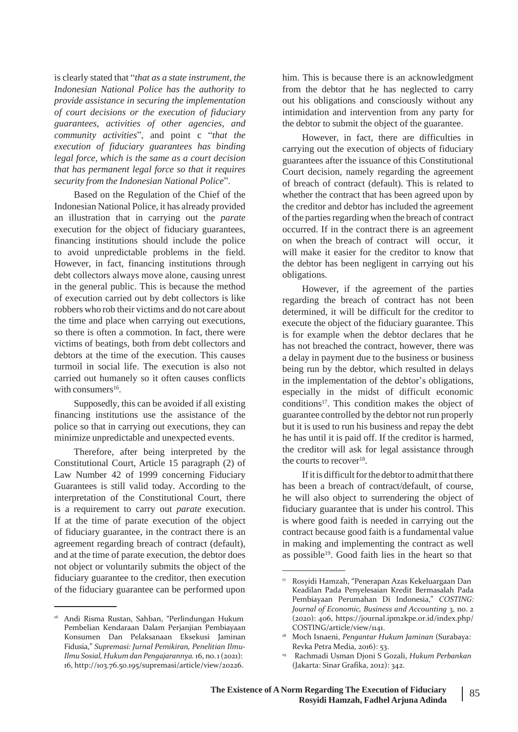is clearly stated that "*that as a state instrument, the Indonesian National Police has the authority to provide assistance in securing the implementation of court decisions or the execution of fiduciary guarantees, activities of other agencies, and community activities*", and point c "*that the execution of fiduciary guarantees has binding legal force, which is the same as a court decision that has permanent legal force so that it requires security from the Indonesian National Police*".

Based on the Regulation of the Chief of the Indonesian National Police, it has already provided an illustration that in carrying out the *parate* execution for the object of fiduciary guarantees, financing institutions should include the police to avoid unpredictable problems in the field. However, in fact, financing institutions through debt collectors always move alone, causing unrest in the general public. This is because the method of execution carried out by debt collectors is like robbers who rob their victims and do not care about the time and place when carrying out executions, so there is often a commotion. In fact, there were victims of beatings, both from debt collectors and debtors at the time of the execution. This causes turmoil in social life. The execution is also not carried out humanely so it often causes conflicts with consumers<sup>16</sup>.

Supposedly, this can be avoided if all existing financing institutions use the assistance of the police so that in carrying out executions, they can minimize unpredictable and unexpected events.

Therefore, after being interpreted by the Constitutional Court, Article 15 paragraph (2) of Law Number 42 of 1999 concerning Fiduciary Guarantees is still valid today. According to the interpretation of the Constitutional Court, there is a requirement to carry out *parate* execution. If at the time of parate execution of the object of fiduciary guarantee, in the contract there is an agreement regarding breach of contract (default), and at the time of parate execution, the debtor does not object or voluntarily submits the object of the fiduciary guarantee to the creditor, then execution of the fiduciary guarantee can be performed upon him. This is because there is an acknowledgment from the debtor that he has neglected to carry out his obligations and consciously without any intimidation and intervention from any party for the debtor to submit the object of the guarantee.

However, in fact, there are difficulties in carrying out the execution of objects of fiduciary guarantees after the issuance of this Constitutional Court decision, namely regarding the agreement of breach of contract (default). This is related to whether the contract that has been agreed upon by the creditor and debtor has included the agreement of the parties regarding when the breach of contract occurred. If in the contract there is an agreement on when the breach of contract will occur, it will make it easier for the creditor to know that the debtor has been negligent in carrying out his obligations.

However, if the agreement of the parties regarding the breach of contract has not been determined, it will be difficult for the creditor to execute the object of the fiduciary guarantee. This is for example when the debtor declares that he has not breached the contract, however, there was a delay in payment due to the business or business being run by the debtor, which resulted in delays in the implementation of the debtor's obligations, especially in the midst of difficult economic conditions<sup>17</sup>. This condition makes the object of guarantee controlled by the debtor not run properly but it is used to run his business and repay the debt he has until it is paid off. If the creditor is harmed, the creditor will ask for legal assistance through the courts to recover<sup>18</sup>.

If it is difficult for the debtor to admit that there has been a breach of contract/default, of course, he will also object to surrendering the object of fiduciary guarantee that is under his control. This is where good faith is needed in carrying out the contract because good faith is a fundamental value in making and implementing the contract as well as possible<sup>19</sup>. Good faith lies in the heart so that

<sup>16</sup> Andi Risma Rustan, Sahban, "Perlindungan Hukum Pembelian Kendaraan Dalam Perjanjian Pembiayaan Konsumen Dan Pelaksanaan Eksekusi Jaminan Fidusia," *Supremasi: Jurnal Pemikiran, Penelitian Ilmu-Ilmu Sosial,Hukum dan Pengajarannya.* 16, no.1(2021): 16, [http://103.76.50.195/supremasi/article/view/20226.](http://103.76.50.195/supremasi/article/view/20226)

<sup>17</sup> Rosyidi Hamzah, "Penerapan Azas Kekeluargaan Dan Keadilan Pada Penyelesaian Kredit Bermasalah Pada Pembiayaan Perumahan Di Indonesia," *COSTING: Journal of Economic, Business and Accounting* 3, no. 2 (2020): 406, https://journal.ipm2kpe.or.id/index.php/ COSTING/article/view/1141.

Moch Isnaeni, *Pengantar Hukum Jaminan* (Surabaya: 18 Revka Petra Media, 2016): 53.

Rachmadi Usman Djoni S Gozali, *Hukum Perbankan* (Jakarta: Sinar Grafika, 2012): 342. 19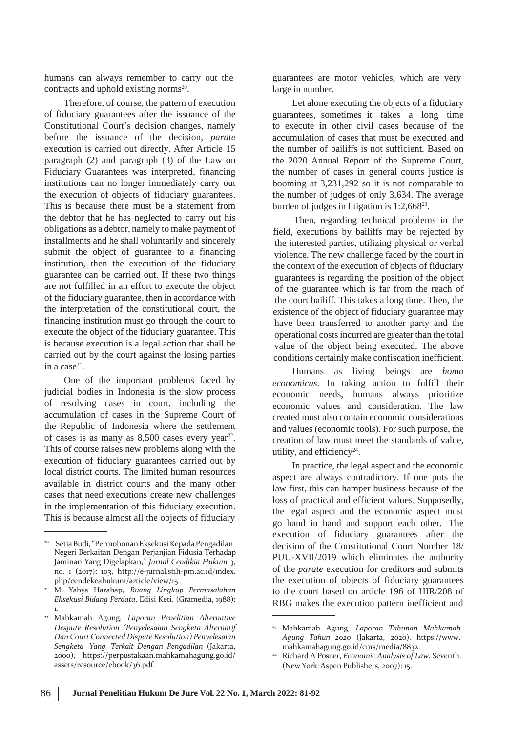humans can always remember to carry out the contracts and uphold existing norms<sup>20</sup>.

Therefore, of course, the pattern of execution of fiduciary guarantees after the issuance of the Constitutional Court's decision changes, namely before the issuance of the decision, *parate* execution is carried out directly. After Article 15 paragraph (2) and paragraph (3) of the Law on Fiduciary Guarantees was interpreted, financing institutions can no longer immediately carry out the execution of objects of fiduciary guarantees. This is because there must be a statement from the debtor that he has neglected to carry out his obligations as a debtor, namely to make payment of installments and he shall voluntarily and sincerely submit the object of guarantee to a financing institution, then the execution of the fiduciary guarantee can be carried out. If these two things are not fulfilled in an effort to execute the object of the fiduciary guarantee, then in accordance with the interpretation of the constitutional court, the financing institution must go through the court to execute the object of the fiduciary guarantee. This is because execution is a legal action that shall be carried out by the court against the losing parties in a case<sup>21</sup>.

One of the important problems faced by judicial bodies in Indonesia is the slow process of resolving cases in court, including the accumulation of cases in the Supreme Court of the Republic of Indonesia where the settlement of cases is as many as  $8,500$  cases every year<sup>22</sup>. This of course raises new problems along with the execution of fiduciary guarantees carried out by local district courts. The limited human resources available in district courts and the many other cases that need executions create new challenges in the implementation of this fiduciary execution. This is because almost all the objects of fiduciary

guarantees are motor vehicles, which are very large in number.

Let alone executing the objects of a fiduciary guarantees, sometimes it takes a long time to execute in other civil cases because of the accumulation of cases that must be executed and the number of bailiffs is not sufficient. Based on the 2020 Annual Report of the Supreme Court, the number of cases in general courts justice is booming at 3,231,292 so it is not comparable to the number of judges of only 3,634. The average burden of judges in litigation is 1:2,668<sup>23</sup>.

Then, regarding technical problems in the field, executions by bailiffs may be rejected by the interested parties, utilizing physical or verbal violence. The new challenge faced by the court in the context of the execution of objects of fiduciary guarantees is regarding the position of the object of the guarantee which is far from the reach of the court bailiff. This takes a long time. Then, the existence of the object of fiduciary guarantee may have been transferred to another party and the operational costsincurred are greater than the total value of the object being executed. The above conditions certainly make confiscation inefficient.

Humans as living beings are *homo economicus*. In taking action to fulfill their economic needs, humans always prioritize economic values and consideration. The law created must also contain economic considerations and values (economic tools). For such purpose, the creation of law must meet the standards of value, utility, and efficiency<sup>24</sup>.

In practice, the legal aspect and the economic aspect are always contradictory. If one puts the law first, this can hamper business because of the loss of practical and efficient values. Supposedly, the legal aspect and the economic aspect must go hand in hand and support each other. The execution of fiduciary guarantees after the decision of the Constitutional Court Number 18/ PUU-XVII/2019 which eliminates the authority of the *parate* execution for creditors and submits the execution of objects of fiduciary guarantees to the court based on article 196 of HIR/208 of RBG makes the execution pattern inefficient and

Setia Budi, "Permohonan Eksekusi Kepada Pengadilan Negeri Berkaitan Dengan Perjanjian Fidusia Terhadap Jaminan Yang Digelapkan," *Jurnal Cendikia Hukum* 3, no. 1 (2017): 103, [http://e-jurnal.stih-pm.ac.id/index.](http://e-jurnal.stih-pm.ac.id/index) php/cendekeahukum/article/view/15.

M. Yahya Harahap, *Ruang Lingkup Permasalahan Eksekusi Bidang Perdata*, Edisi Keti. (Gramedia, 1988): 1. 21

Mahkamah Agung, *Laporan Penelitian Alternative* 22 *Despute Resolution (Penyelesaian Sengketa Alternatif Dan Court Connected Dispute Resolution) Penyelesaian Sengketa Yang Terkait Dengan Pengadilan* (Jakarta, 2000), https://perpustakaan.mahkamahagung.go.id/ assets/resource/ebook/36.pdf.

<sup>23</sup> Mahkamah Agung, *Laporan Tahunan Mahkamah Agung Tahun 2020* (Jakarta, 2020), h[ttps://ww](http://www/)w. mahkamahagung.go.id/cms/media/8832.

Richard A Posner, *Economic Analysis of Law*, Seventh. (New York: Aspen Publishers, 2007): 15. 24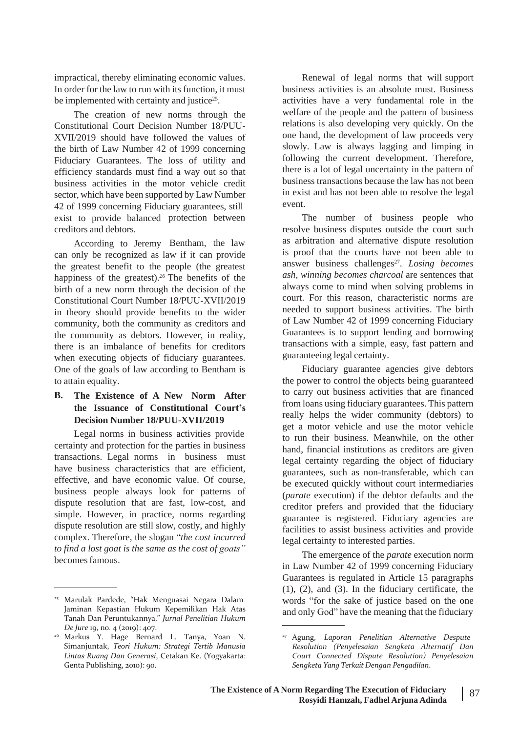impractical, thereby eliminating economic values. In order for the law to run with its function, it must be implemented with certainty and justice<sup>25</sup>.

The creation of new norms through the Constitutional Court Decision Number 18/PUU-XVII/2019 should have followed the values of the birth of Law Number 42 of 1999 concerning Fiduciary Guarantees. The loss of utility and efficiency standards must find a way out so that business activities in the motor vehicle credit sector, which have been supported by Law Number 42 of 1999 concerning Fiduciary guarantees, still exist to provide balanced protection between creditors and debtors.

According to Jeremy Bentham, the law can only be recognized as law if it can provide the greatest benefit to the people (the greatest happiness of the greatest).*<sup>26</sup>* The benefits of the birth of a new norm through the decision of the Constitutional Court Number 18/PUU-XVII/2019 in theory should provide benefits to the wider community, both the community as creditors and the community as debtors. However, in reality, there is an imbalance of benefits for creditors when executing objects of fiduciary guarantees. One of the goals of law according to Bentham is to attain equality.

#### **B. The Existence of A New Norm After the Issuance of Constitutional Court's Decision Number 18/PUU-XVII/2019**

Legal norms in business activities provide certainty and protection for the parties in business transactions. Legal norms in business must have business characteristics that are efficient. effective, and have economic value. Of course, business people always look for patterns of dispute resolution that are fast, low-cost, and simple. However, in practice, norms regarding dispute resolution are still slow, costly, and highly complex. Therefore, the slogan "*the cost incurred to find a lost goat is the same as the cost of goats"*  becomesfamous.

Renewal of legal norms that will support business activities is an absolute must. Business activities have a very fundamental role in the welfare of the people and the pattern of business relations is also developing very quickly. On the one hand, the development of law proceeds very slowly. Law is always lagging and limping in following the current development. Therefore, there is a lot of legal uncertainty in the pattern of business transactions because the law has not been in exist and has not been able to resolve the legal event.

The number of business people who resolve business disputes outside the court such as arbitration and alternative dispute resolution is proof that the courts have not been able to answer business challenges<sup>27</sup>. Losing becomes *ash, winning becomes charcoal* are sentences that always come to mind when solving problems in court. For this reason, characteristic norms are needed to support business activities. The birth of Law Number 42 of 1999 concerning Fiduciary Guarantees is to support lending and borrowing transactions with a simple, easy, fast pattern and guaranteeing legal certainty.

Fiduciary guarantee agencies give debtors the power to control the objects being guaranteed to carry out business activities that are financed from loans using fiduciary guarantees. This pattern really helps the wider community (debtors) to get a motor vehicle and use the motor vehicle to run their business. Meanwhile, on the other hand, financial institutions as creditors are given legal certainty regarding the object of fiduciary guarantees, such as non-transferable, which can be executed quickly without court intermediaries (*parate* execution) if the debtor defaults and the creditor prefers and provided that the fiduciary guarantee is registered. Fiduciary agencies are facilities to assist business activities and provide legal certainty to interested parties.

The emergence of the *parate* execution norm in Law Number 42 of 1999 concerning Fiduciary Guarantees is regulated in Article 15 paragraphs (1), (2), and (3). In the fiduciary certificate, the words "for the sake of justice based on the one and only God" have the meaning that the fiduciary

<sup>25</sup> Marulak Pardede, "Hak Menguasai Negara Dalam Jaminan Kepastian Hukum Kepemilikan Hak Atas Tanah Dan Peruntukannya," *Jurnal Penelitian Hukum De Jure* 19, no. 4 (2019): 407.

Markus Y. Hage Bernard L. Tanya, Yoan N. <sup>26</sup> <sup>27</sup> Agung, *Laporan Penelitian Alternative Despute* Simanjuntak, *Teori Hukum: Strategi Tertib Manusia Lintas Ruang Dan Generasi*, Cetakan Ke. (Yogyakarta: Genta Publishing, 2010): 90.

*Resolution (Penyelesaian Sengketa Alternatif Dan Court Connected Dispute Resolution) Penyelesaian Sengketa Yang Terkait Dengan Pengadilan*.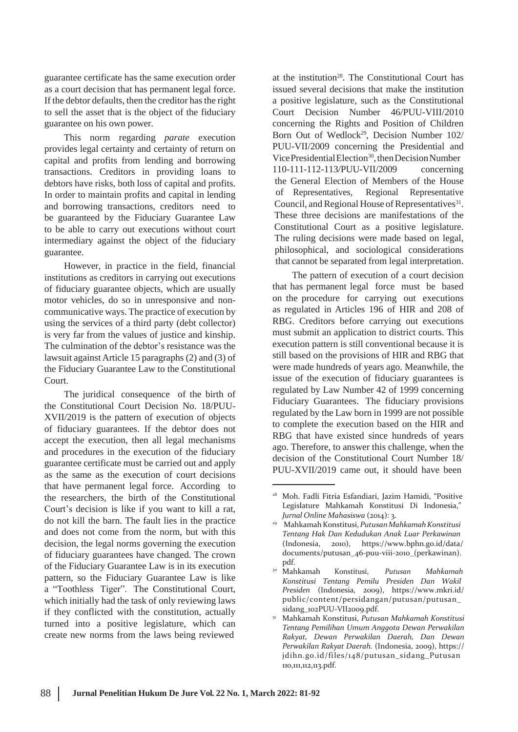guarantee certificate has the same execution order as a court decision that has permanent legal force. If the debtor defaults, then the creditor hasthe right to sell the asset that is the object of the fiduciary guarantee on his own power.

This norm regarding *parate* execution provides legal certainty and certainty of return on capital and profits from lending and borrowing transactions. Creditors in providing loans to debtors have risks, both loss of capital and profits. In order to maintain profits and capital in lending and borrowing transactions, creditors need to be guaranteed by the Fiduciary Guarantee Law to be able to carry out executions without court intermediary against the object of the fiduciary guarantee.

However, in practice in the field, financial institutions as creditors in carrying out executions of fiduciary guarantee objects, which are usually motor vehicles, do so in unresponsive and noncommunicative ways. The practice of execution by using the services of a third party (debt collector) is very far from the values of justice and kinship. The culmination of the debtor's resistance was the lawsuit against Article 15 paragraphs (2) and (3) of the Fiduciary Guarantee Law to the Constitutional Court.

The juridical consequence of the birth of the Constitutional Court Decision No. 18/PUU-XVII/2019 is the pattern of execution of objects of fiduciary guarantees. If the debtor does not accept the execution, then all legal mechanisms and procedures in the execution of the fiduciary guarantee certificate must be carried out and apply as the same as the execution of court decisions that have permanent legal force. According to the researchers, the birth of the Constitutional Court's decision is like if you want to kill a rat, do not kill the barn. The fault lies in the practice and does not come from the norm, but with this decision, the legal norms governing the execution of fiduciary guarantees have changed. The crown of the Fiduciary Guarantee Law is in its execution pattern, so the Fiduciary Guarantee Law is like a "Toothless Tiger". The Constitutional Court, which initially had the task of only reviewing laws if they conflicted with the constitution, actually turned into a positive legislature, which can create new norms from the laws being reviewed

at the institution<sup>28</sup>. The Constitutional Court has issued several decisions that make the institution a positive legislature, such as the Constitutional Court Decision Number 46/PUU-VIII/2010 concerning the Rights and Position of Children Born Out of Wedlock<sup>29</sup>, Decision Number 102/ PUU-VII/2009 concerning the Presidential and Vice Presidential Election<sup>30</sup>, then Decision Number 110-111-112-113/PUU-VII/2009 concerning the General Election of Members of the House of Representatives, Regional Representative Council, and Regional House of Representatives<sup>31</sup>. These three decisions are manifestations of the Constitutional Court as a positive legislature. The ruling decisions were made based on legal, philosophical, and sociological considerations that cannot be separated from legal interpretation.

The pattern of execution of a court decision that has permanent legal force must be based on the procedure for carrying out executions as regulated in Articles 196 of HIR and 208 of RBG. Creditors before carrying out executions must submit an application to district courts. This execution pattern is still conventional because it is still based on the provisions of HIR and RBG that were made hundreds of years ago. Meanwhile, the issue of the execution of fiduciary guarantees is regulated by Law Number 42 of 1999 concerning Fiduciary Guarantees. The fiduciary provisions regulated by the Law born in 1999 are not possible to complete the execution based on the HIR and RBG that have existed since hundreds of years ago. Therefore, to answer this challenge, when the decision of the Constitutional Court Number 18/ PUU-XVII/2019 came out, it should have been

<sup>28</sup> Moh. Fadli Fitria Esfandiari, Jazim Hamidi, "Positive Legislature Mahkamah Konstitusi Di Indonesia," *Jurnal Online Mahasiswa* (2014): 3.

<sup>&</sup>lt;sup>29</sup> Mahkamah Konstitusi, Putusan Mahkamah Konstitusi *Tentang Hak Dan Kedudukan Anak Luar Perkawinan* (Indonesia, 2010), h[ttps://www.bphn.go.id/data/](http://www.bphn.go.id/data/) documents/putusan\_46-puu-viii-2010\_(perkawinan). pdf.

<sup>30</sup> Mahkamah Konstitusi, *Putusan Mahkamah Konstitusi Tentang Pemilu Presiden Dan Wakil Presiden* (Indonesia, 2009), h[ttps://www.mkri.id/](http://www.mkri.id/) public/content/persidangan/putusan/putusan\_ sidang\_102PUU-VII2009.pdf.

Mahkamah Konstitusi, *Putusan Mahkamah Konstitusi* 31 *Tentang Pemilihan Umum Anggota Dewan Perwakilan Rakyat, Dewan Perwakilan Daerah, Dan Dewan Perwakilan Rakyat Daerah.* (Indonesia, 2009), https:// jdihn.go.id/files/148/putusan\_sidang\_Putusan 110,111,112,113.pdf.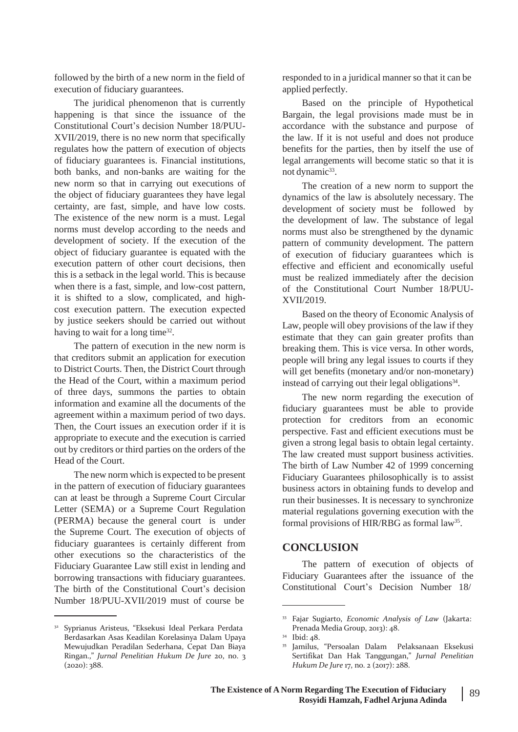followed by the birth of a new norm in the field of execution of fiduciary guarantees.

The juridical phenomenon that is currently happening is that since the issuance of the Constitutional Court's decision Number 18/PUU-XVII/2019, there is no new norm that specifically regulates how the pattern of execution of objects of fiduciary guarantees is. Financial institutions, both banks, and non-banks are waiting for the new norm so that in carrying out executions of the object of fiduciary guarantees they have legal certainty, are fast, simple, and have low costs. The existence of the new norm is a must. Legal norms must develop according to the needs and development of society. If the execution of the object of fiduciary guarantee is equated with the execution pattern of other court decisions, then this is a setback in the legal world. This is because when there is a fast, simple, and low-cost pattern, it is shifted to a slow, complicated, and highcost execution pattern. The execution expected by justice seekers should be carried out without having to wait for a long time<sup>32</sup>.

The pattern of execution in the new norm is that creditors submit an application for execution to District Courts. Then, the District Court through the Head of the Court, within a maximum period of three days, summons the parties to obtain information and examine all the documents of the agreement within a maximum period of two days. Then, the Court issues an execution order if it is appropriate to execute and the execution is carried out by creditors or third parties on the orders of the Head of the Court.

The new norm which is expected to be present in the pattern of execution of fiduciary guarantees can at least be through a Supreme Court Circular Letter (SEMA) or a Supreme Court Regulation (PERMA) because the general court is under the Supreme Court. The execution of objects of fiduciary guarantees is certainly different from other executions so the characteristics of the Fiduciary Guarantee Law still exist in lending and borrowing transactions with fiduciary guarantees. The birth of the Constitutional Court's decision Number 18/PUU-XVII/2019 must of course be

responded to in a juridical manner so that it can be applied perfectly.

Based on the principle of Hypothetical Bargain, the legal provisions made must be in accordance with the substance and purpose of the law. If it is not useful and does not produce benefits for the parties, then by itself the use of legal arrangements will become static so that it is not dynamic<sup>33</sup>.

The creation of a new norm to support the dynamics of the law is absolutely necessary. The development of society must be followed by the development of law. The substance of legal norms must also be strengthened by the dynamic pattern of community development. The pattern of execution of fiduciary guarantees which is effective and efficient and economically useful must be realized immediately after the decision of the Constitutional Court Number 18/PUU-XVII/2019.

Based on the theory of Economic Analysis of Law, people will obey provisions of the law if they estimate that they can gain greater profits than breaking them. This is vice versa. In other words, people will bring any legal issues to courts if they will get benefits (monetary and/or non-monetary) instead of carrying out their legal obligations<sup>34</sup>.

The new norm regarding the execution of fiduciary guarantees must be able to provide protection for creditors from an economic perspective. Fast and efficient executions must be given a strong legal basis to obtain legal certainty. The law created must support business activities. The birth of Law Number 42 of 1999 concerning Fiduciary Guarantees philosophically is to assist business actors in obtaining funds to develop and run their businesses. It is necessary to synchronize material regulations governing execution with the formal provisions of HIR/RBG as formal law<sup>35</sup>.

#### **CONCLUSION**

The pattern of execution of objects of Fiduciary Guarantees after the issuance of the Constitutional Court's Decision Number 18/

<sup>32</sup> Syprianus Aristeus, "Eksekusi Ideal Perkara Perdata Berdasarkan Asas Keadilan Korelasinya Dalam Upaya Mewujudkan Peradilan Sederhana, Cepat Dan Biaya Ringan.," *Jurnal Penelitian Hukum De Jure* 20, no. 3  $(2020): 388.$ 

<sup>33</sup> Fajar Sugiarto, *Economic Analysis of Law* (Jakarta: Prenada Media Group, 2013): 48.

<sup>34</sup> Ibid: 48.

<sup>&</sup>lt;sup>35</sup> Jamilus, "Persoalan Dalam Pelaksanaan Eksekusi Sertifikat Dan Hak Tanggungan," *Jurnal Penelitian Hukum De Jure* 17, no. 2 (2017): 288.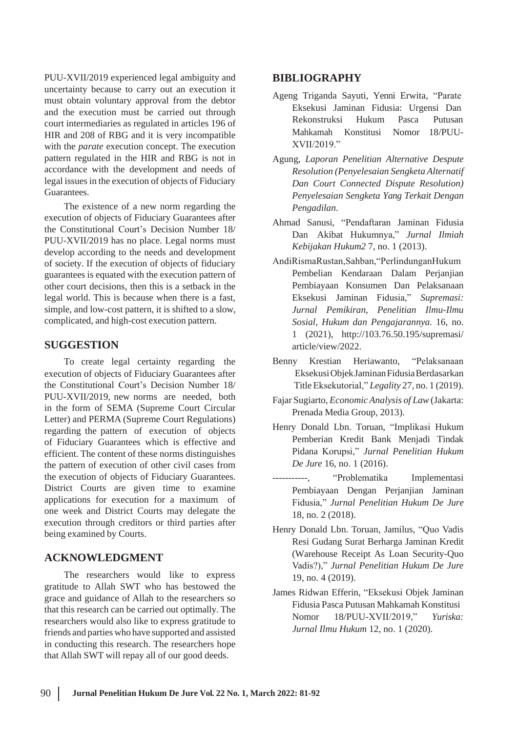PUU-XVII/2019 experienced legal ambiguity and uncertainty because to carry out an execution it must obtain voluntary approval from the debtor and the execution must be carried out through court intermediaries as regulated in articles 196 of HIR and 208 of RBG and it is very incompatible with the *parate* execution concept. The execution pattern regulated in the HIR and RBG is not in accordance with the development and needs of legal issues in the execution of objects of Fiduciary Guarantees.

The existence of a new norm regarding the execution of objects of Fiduciary Guarantees after the Constitutional Court's Decision Number 18/ PUU-XVII/2019 has no place. Legal norms must develop according to the needs and development of society. If the execution of objects of fiduciary guarantees is equated with the execution pattern of other court decisions, then this is a setback in the legal world. This is because when there is a fast, simple, and low-cost pattern, it is shifted to a slow, complicated, and high-cost execution pattern.

execution of objects of Fiduciary Guarantees after the Constitutional Court's Decision Number 18/ PUU-XVII/2019, new norms are needed, both in the form of SEMA (Supreme Court Circular Letter) and PERMA (Supreme Court Regulations) regarding the pattern of execution of objects of Fiduciary Guarantees which is effective and efficient. The content of these norms distinguishes the pattern of execution of other civil cases from the execution of objects of Fiduciary Guarantees. District Courts are given time to examine applications for execution for a maximum of one week and District Courts may delegate the execution through creditors or third parties after being examined by Courts.

## **ACKNOWLEDGMENT**

The researchers would like to express gratitude to Allah SWT who has bestowed the grace and guidance of Allah to the researchers so that this research can be carried out optimally. The researchers would also like to express gratitude to friends and parties who have supported and assisted in conducting this research. The researchers hope that Allah SWT will repay all of our good deeds.

### **BIBLIOGRAPHY**

- Ageng Triganda Sayuti, Yenni Erwita, "Parate Eksekusi Jaminan Fidusia: Urgensi Dan Rekonstruksi Hukum Pasca Putusan Mahkamah Konstitusi Nomor 18/PUU-XVII/2019."
- Agung, *Laporan Penelitian Alternative Despute Resolution (Penyelesaian Sengketa Alternatif Dan Court Connected Dispute Resolution) Penyelesaian Sengketa Yang Terkait Dengan Pengadilan*.
- Ahmad Sanusi, "Pendaftaran Jaminan Fidusia Dan Akibat Hukumnya," *Jurnal Ilmiah Kebijakan Hukum2* 7, no. 1 (2013).
- AndiRismaRustan,Sahban,"PerlindunganHukum Pembelian Kendaraan Dalam Perjanjian Pembiayaan Konsumen Dan Pelaksanaan Eksekusi Jaminan Fidusia," *Supremasi: Jurnal Pemikiran, Penelitian Ilmu-Ilmu Sosial, Hukum dan Pengajarannya.* 16, no. 1 (2021), <http://103.76.50.195/supremasi/> **SUGGESTION** article/view/2022.
	- To create legal certainty regarding the Benny Krestian Heriawanto, "Pelaksanaan EksekusiObjekJaminanFidusiaBerdasarkan TitleEksekutorial," *Legality* 27, no. 1 (2019).
		- Fajar Sugiarto, *Economic Analysis of Law* (Jakarta: Prenada Media Group, 2013).
		- Henry Donald Lbn. Toruan, "Implikasi Hukum Pemberian Kredit Bank Menjadi Tindak Pidana Korupsi," *Jurnal Penelitian Hukum De Jure* 16, no. 1 (2016).
		- -----------, "Problematika Implementasi Pembiayaan Dengan Perjanjian Jaminan Fidusia," *Jurnal Penelitian Hukum De Jure* 18, no. 2 (2018).
		- Henry Donald Lbn. Toruan, Jamilus, "Quo Vadis Resi Gudang Surat Berharga Jaminan Kredit (Warehouse Receipt As Loan Security-Quo Vadis?)," *Jurnal Penelitian Hukum De Jure* 19, no. 4 (2019).
		- James Ridwan Efferin, "Eksekusi Objek Jaminan Fidusia Pasca Putusan Mahkamah Konstitusi Nomor 18/PUU-XVII/2019," *Yuriska: Jurnal Ilmu Hukum* 12, no. 1 (2020).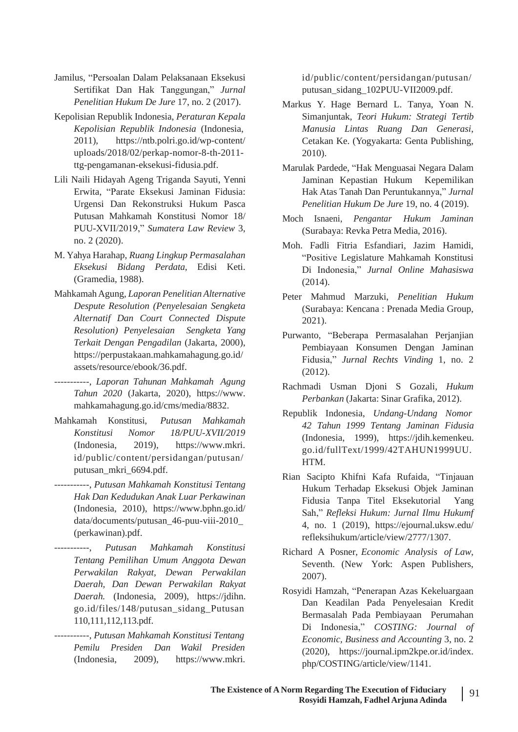- Jamilus, "Persoalan Dalam Pelaksanaan Eksekusi Sertifikat Dan Hak Tanggungan," *Jurnal Penelitian Hukum De Jure* 17, no. 2 (2017).
- Kepolisian Republik Indonesia, *Peraturan Kepala Kepolisian Republik Indonesia* (Indonesia, 2011), https://ntb.polri.go.id/wp-content/ uploads/2018/02/perkap-nomor-8-th-2011 ttg-pengamanan-eksekusi-fidusia.pdf.
- Lili Naili Hidayah Ageng Triganda Sayuti, Yenni Erwita, "Parate Eksekusi Jaminan Fidusia: Urgensi Dan Rekonstruksi Hukum Pasca Putusan Mahkamah Konstitusi Nomor 18/ PUU-XVII/2019," *Sumatera Law Review* 3, no. 2 (2020).
- M. Yahya Harahap, *Ruang Lingkup Permasalahan Eksekusi Bidang Perdata*, Edisi Keti. (Gramedia, 1988).
- MahkamahAgung, *Laporan Penelitian Alternative Despute Resolution (Penyelesaian Sengketa Alternatif Dan Court Connected Dispute Resolution) Penyelesaian Sengketa Yang Terkait Dengan Pengadilan* (Jakarta, 2000), https://perpustakaan.mahkamahagung.go.id/ assets/resource/ebook/36.pdf.
- -----------, *Laporan Tahunan Mahkamah Agung Tahun 2020* (Jakarta, 2020), [https://www.](http://www/) mahkamahagung.go.id/cms/media/8832.
- Mahkamah Konstitusi, *Putusan Mahkamah Konstitusi* (Indonesia, *Nomor* 2019), *18/PUU-XVII/2019* https://www.mkri. id/public/content/persidangan/putusan/ putusan\_mkri\_6694.pdf.
- -----------, *Putusan Mahkamah Konstitusi Tentang Hak Dan Kedudukan Anak Luar Perkawinan* (Indonesia, 2010), [https://www.bphn.go.id/](http://www.bphn.go.id/) data/documents/putusan\_46-puu-viii-2010\_ (perkawinan).pdf.
- -----------, *Putusan Mahkamah Konstitusi Tentang Pemilihan Umum Anggota Dewan Perwakilan Rakyat, Dewan Perwakilan Daerah, Dan Dewan Perwakilan Rakyat Daerah.* (Indonesia, 2009), https://jdihn. go.id/files/148/putusan\_sidang\_Putusan 110,111,112,113.pdf.
- -----------, *Putusan Mahkamah Konstitusi Tentang Pemilu Presiden Dan Wakil Presiden* (Indonesia, 2009), https://www.mkri.

id/public/content/persidangan/putusan/ putusan\_sidang\_102PUU-VII2009.pdf.

- Markus Y. Hage Bernard L. Tanya, Yoan N. Simanjuntak, *Teori Hukum: Strategi Tertib Manusia Lintas Ruang Dan Generasi*, Cetakan Ke. (Yogyakarta: Genta Publishing, 2010).
- Marulak Pardede, "Hak Menguasai Negara Dalam Jaminan Kepastian Hukum Kepemilikan Hak Atas Tanah Dan Peruntukannya," *Jurnal Penelitian Hukum De Jure* 19, no. 4 (2019).
- Moch Isnaeni, *Pengantar Hukum Jaminan* (Surabaya: Revka Petra Media, 2016).
- Moh. Fadli Fitria Esfandiari, Jazim Hamidi, "Positive Legislature Mahkamah Konstitusi Di Indonesia," *Jurnal Online Mahasiswa*  $(2014)$ .
- Peter Mahmud Marzuki, *Penelitian Hukum* (Surabaya: Kencana : Prenada Media Group, 2021).
- Purwanto, "Beberapa Permasalahan Perjanjian Pembiayaan Konsumen Dengan Jaminan Fidusia," *Jurnal Rechts Vinding* 1, no. 2 (2012).
- Rachmadi Usman Djoni S Gozali, *Hukum Perbankan* (Jakarta: Sinar Grafika, 2012).
- Republik Indonesia, *Undang-Undang Nomor 42 Tahun 1999 Tentang Jaminan Fidusia* (Indonesia, 1999), https://jdih.kemenkeu. go.id/fullText/1999/42TAHUN1999UU. HTM.
- Rian Sacipto Khifni Kafa Rufaida, "Tinjauan Hukum Terhadap Eksekusi Objek Jaminan Fidusia Tanpa Titel Eksekutorial Yang Sah," *Refleksi Hukum: Jurnal Ilmu Hukumf* 4, no. 1 (2019), https://ejournal.uksw.edu/ refleksihukum/article/view/2777/1307.
- Richard A Posner, *Economic Analysis of Law*, Seventh. (New York: Aspen Publishers, 2007).
- Rosyidi Hamzah, "Penerapan Azas Kekeluargaan Dan Keadilan Pada Penyelesaian Kredit Bermasalah Pada Pembiayaan Perumahan Di Indonesia," *COSTING: Journal of Economic, Business and Accounting* 3, no. 2 (2020), https://journal.ipm2kpe.or.id/index. php/COSTING/article/view/1141.